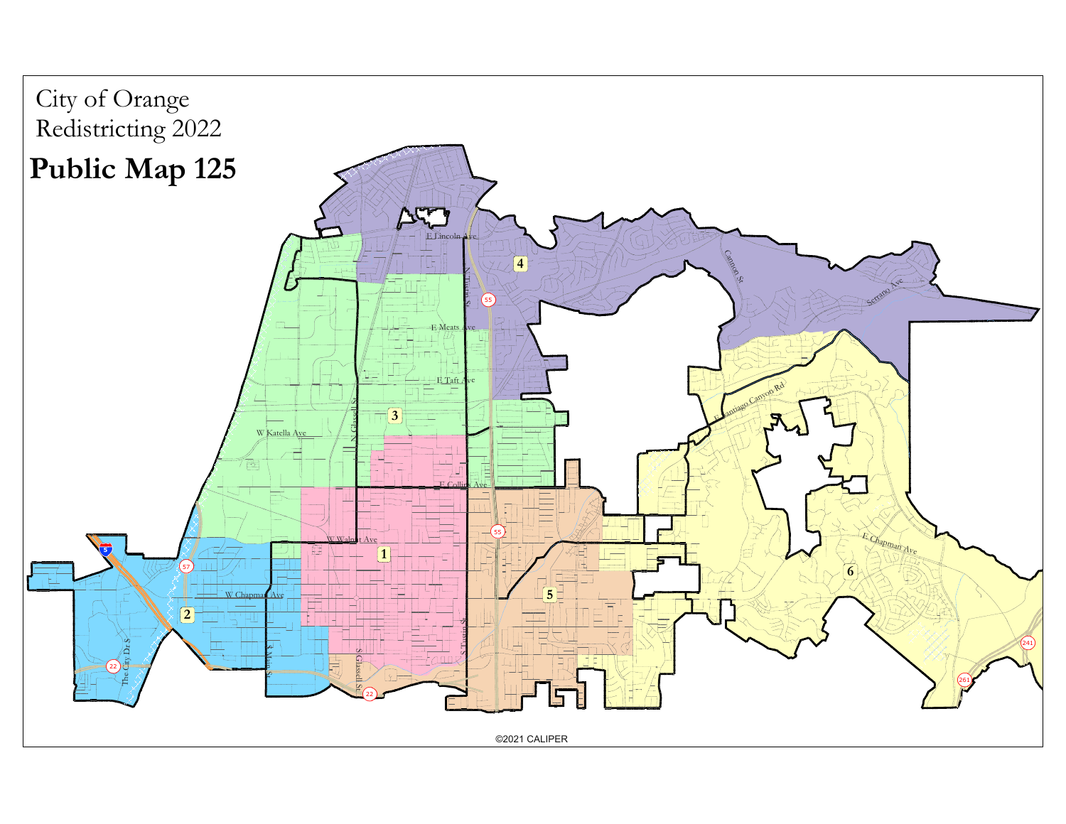